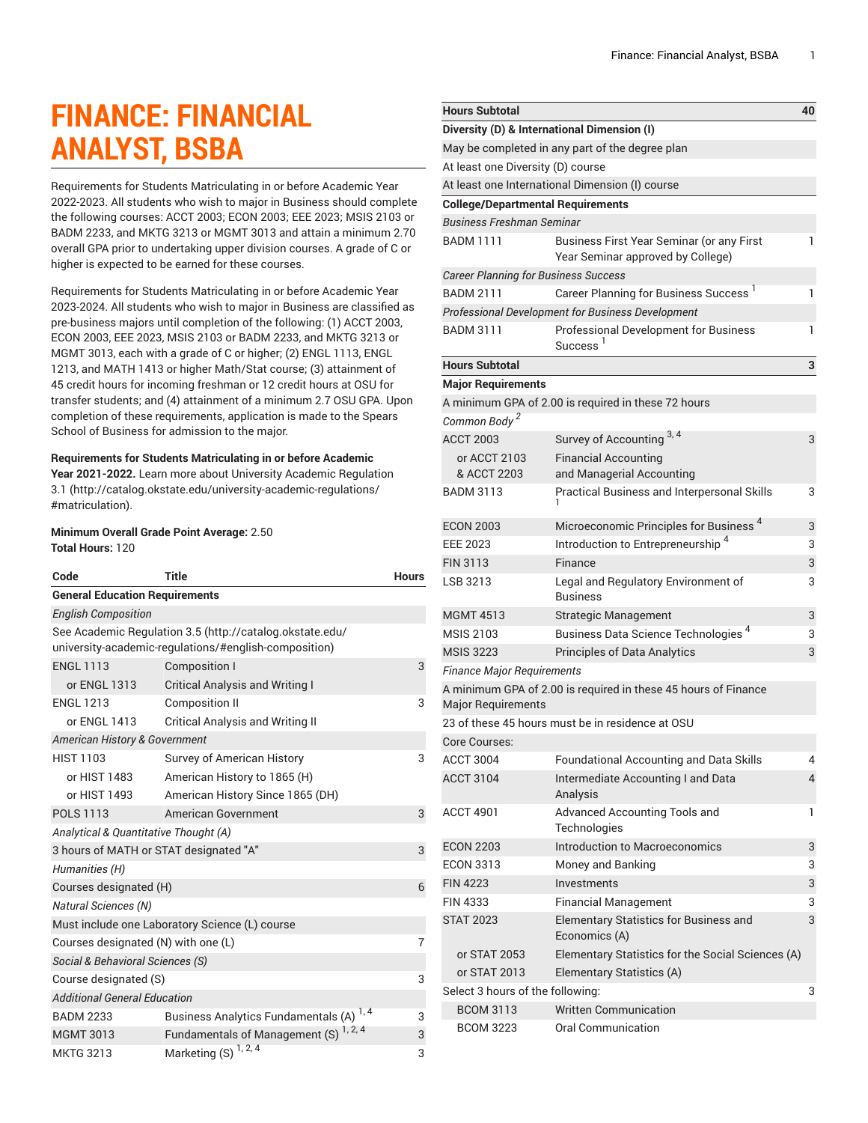# **FINANCE: FINANCIAL ANALYST, BSBA**

Requirements for Students Matriculating in or before Academic Year 2022-2023. All students who wish to major in Business should complete the following courses: ACCT 2003; ECON 2003; EEE 2023; MSIS 2103 or BADM 2233, and MKTG 3213 or MGMT 3013 and attain a minimum 2.70 overall GPA prior to undertaking upper division courses. A grade of C or higher is expected to be earned for these courses.

Requirements for Students Matriculating in or before Academic Year 2023-2024. All students who wish to major in Business are classified as pre-business majors until completion of the following: (1) ACCT 2003, ECON 2003, EEE 2023, MSIS 2103 or BADM 2233, and MKTG 3213 or MGMT 3013, each with a grade of C or higher; (2) ENGL 1113, ENGL 1213, and MATH 1413 or higher Math/Stat course; (3) attainment of 45 credit hours for incoming freshman or 12 credit hours at OSU for transfer students; and (4) attainment of a minimum 2.7 OSU GPA. Upon completion of these requirements, application is made to the Spears School of Business for admission to the major.

### **Requirements for Students Matriculating in or before Academic**

**Year 2021-2022.** Learn more about University Academic [Regulation](http://catalog.okstate.edu/university-academic-regulations/#matriculation) [3.1](http://catalog.okstate.edu/university-academic-regulations/#matriculation) ([http://catalog.okstate.edu/university-academic-regulations/](http://catalog.okstate.edu/university-academic-regulations/#matriculation) [#matriculation\)](http://catalog.okstate.edu/university-academic-regulations/#matriculation).

#### **Minimum Overall Grade Point Average:** 2.50 **Total Hours:** 120

| Code                                                                                                              | <b>Title</b>                                      | <b>Hours</b> |  |
|-------------------------------------------------------------------------------------------------------------------|---------------------------------------------------|--------------|--|
| <b>General Education Requirements</b>                                                                             |                                                   |              |  |
| <b>English Composition</b>                                                                                        |                                                   |              |  |
| See Academic Regulation 3.5 (http://catalog.okstate.edu/<br>university-academic-regulations/#english-composition) |                                                   |              |  |
| <b>ENGL 1113</b>                                                                                                  | <b>Composition I</b>                              | 3            |  |
| or ENGL 1313                                                                                                      | <b>Critical Analysis and Writing I</b>            |              |  |
| <b>ENGL 1213</b>                                                                                                  | <b>Composition II</b>                             | 3            |  |
| or ENGL 1413                                                                                                      | <b>Critical Analysis and Writing II</b>           |              |  |
| American History & Government                                                                                     |                                                   |              |  |
| <b>HIST 1103</b>                                                                                                  | Survey of American History                        | 3            |  |
| or HIST 1483                                                                                                      | American History to 1865 (H)                      |              |  |
| or HIST 1493                                                                                                      | American History Since 1865 (DH)                  |              |  |
| <b>POLS 1113</b>                                                                                                  | American Government                               | 3            |  |
| Analytical & Quantitative Thought (A)                                                                             |                                                   |              |  |
| 3 hours of MATH or STAT designated "A"                                                                            |                                                   |              |  |
| Humanities (H)                                                                                                    |                                                   |              |  |
| Courses designated (H)                                                                                            |                                                   |              |  |
| <b>Natural Sciences (N)</b>                                                                                       |                                                   |              |  |
| Must include one Laboratory Science (L) course                                                                    |                                                   |              |  |
| Courses designated (N) with one (L)                                                                               |                                                   | 7            |  |
| Social & Behavioral Sciences (S)                                                                                  |                                                   |              |  |
| Course designated (S)                                                                                             |                                                   | 3            |  |
| <b>Additional General Education</b>                                                                               |                                                   |              |  |
| <b>BADM 2233</b>                                                                                                  | <b>Business Analytics Fundamentals (A)</b>        | 3            |  |
| <b>MGMT 3013</b>                                                                                                  | Fundamentals of Management (S) <sup>1, 2, 4</sup> | 3            |  |
| <b>MKTG 3213</b>                                                                                                  | Marketing $(S)^{1, 2, 4}$                         | 3            |  |

| <b>Hours Subtotal</b>                       |                                                                                       | 40 |
|---------------------------------------------|---------------------------------------------------------------------------------------|----|
|                                             | Diversity (D) & International Dimension (I)                                           |    |
|                                             | May be completed in any part of the degree plan                                       |    |
| At least one Diversity (D) course           |                                                                                       |    |
|                                             | At least one International Dimension (I) course                                       |    |
| <b>College/Departmental Requirements</b>    |                                                                                       |    |
| <b>Business Freshman Seminar</b>            |                                                                                       |    |
| <b>BADM 1111</b>                            | <b>Business First Year Seminar (or any First</b><br>Year Seminar approved by College) | 1  |
| <b>Career Planning for Business Success</b> |                                                                                       |    |
| <b>BADM 2111</b>                            | Career Planning for Business Success <sup>1</sup>                                     | 1  |
|                                             | <b>Professional Development for Business Development</b>                              |    |
| <b>BADM 3111</b>                            | <b>Professional Development for Business</b><br>Success <sup>1</sup>                  | 1  |
| <b>Hours Subtotal</b>                       |                                                                                       | 3  |
| <b>Major Requirements</b>                   |                                                                                       |    |
|                                             | A minimum GPA of 2.00 is required in these 72 hours                                   |    |
| Common Body <sup>2</sup>                    |                                                                                       |    |
| <b>ACCT 2003</b>                            | Survey of Accounting 3, 4                                                             | 3  |
| or ACCT 2103                                | <b>Financial Accounting</b>                                                           |    |
| & ACCT 2203                                 | and Managerial Accounting                                                             |    |
| <b>BADM 3113</b>                            | <b>Practical Business and Interpersonal Skills</b>                                    | 3  |
| <b>ECON 2003</b>                            | Microeconomic Principles for Business <sup>4</sup>                                    | 3  |
| EEE 2023                                    | Introduction to Entrepreneurship <sup>4</sup>                                         | 3  |
| <b>FIN 3113</b>                             | Finance                                                                               | 3  |
| LSB 3213                                    | Legal and Regulatory Environment of<br><b>Business</b>                                | 3  |
| <b>MGMT 4513</b>                            | <b>Strategic Management</b>                                                           | 3  |
| <b>MSIS 2103</b>                            | Business Data Science Technologies <sup>4</sup>                                       | 3  |
| <b>MSIS 3223</b>                            | <b>Principles of Data Analytics</b>                                                   | 3  |
| <b>Finance Major Requirements</b>           |                                                                                       |    |
| <b>Major Requirements</b>                   | A minimum GPA of 2.00 is required in these 45 hours of Finance                        |    |
|                                             | 23 of these 45 hours must be in residence at OSU                                      |    |
| Core Courses:                               |                                                                                       |    |
| <b>ACCT 3004</b>                            | Foundational Accounting and Data Skills                                               | 4  |
| <b>ACCT 3104</b>                            | Intermediate Accounting I and Data<br>Analysis                                        | 4  |
| <b>ACCT 4901</b>                            | Advanced Accounting Tools and<br>Technologies                                         | 1  |
| <b>ECON 2203</b>                            | Introduction to Macroeconomics                                                        | 3  |
| <b>ECON 3313</b>                            | Money and Banking                                                                     | 3  |
| <b>FIN 4223</b>                             | Investments                                                                           | 3  |
| <b>FIN 4333</b>                             | <b>Financial Management</b>                                                           | 3  |
| <b>STAT 2023</b>                            | Elementary Statistics for Business and<br>Economics (A)                               | 3  |
| or STAT 2053                                | Elementary Statistics for the Social Sciences (A)                                     |    |
| or STAT 2013                                | Elementary Statistics (A)                                                             |    |
| Select 3 hours of the following:            |                                                                                       | 3  |
| <b>BCOM 3113</b>                            | <b>Written Communication</b>                                                          |    |
| <b>BCOM 3223</b>                            | <b>Oral Communication</b>                                                             |    |